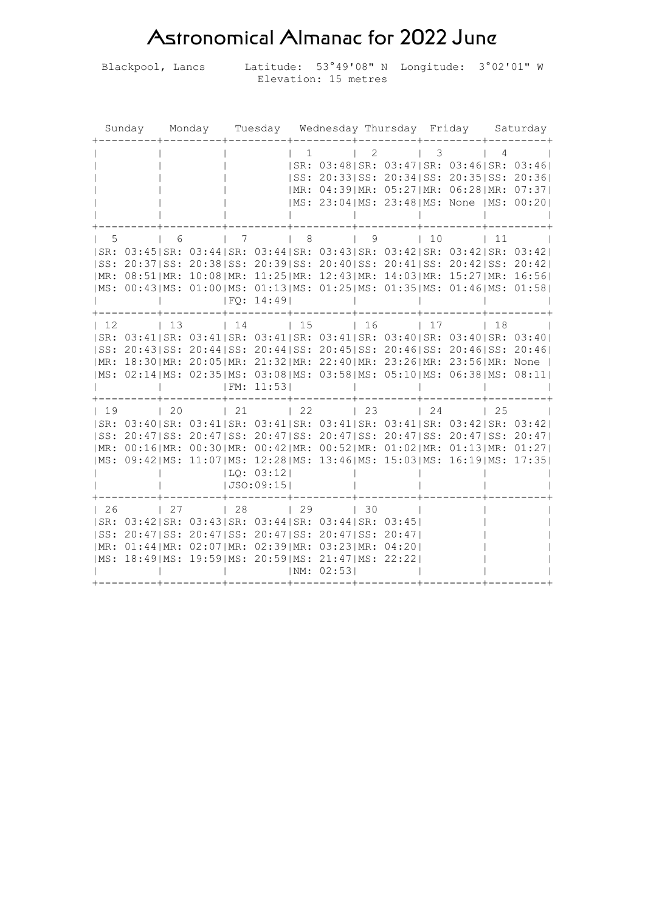## Astronomical Almanac for 2022 June

Blackpool, Lancs Latitude: 53°49'08" N Longitude: 3°02'01" W Elevation: 15 metres

| Sunday             | Monday                                                                                                                                                                                                                                                                                                                                              |                                                                     | Tuesday Wednesday Thursday Friday     |                          |                                     |  |                                    |  | Saturday   |                                                                                                                                                                                        |
|--------------------|-----------------------------------------------------------------------------------------------------------------------------------------------------------------------------------------------------------------------------------------------------------------------------------------------------------------------------------------------------|---------------------------------------------------------------------|---------------------------------------|--------------------------|-------------------------------------|--|------------------------------------|--|------------|----------------------------------------------------------------------------------------------------------------------------------------------------------------------------------------|
|                    |                                                                                                                                                                                                                                                                                                                                                     |                                                                     | $\mathbf{1}$                          |                          | 2                                   |  | 3                                  |  | 4          | SR: 03:48 SR: 03:47 SR: 03:46 SR: 03:46 <br> SS: 20:33 SS: 20:34 SS: 20:35 SS: 20:36 <br>  MR: 04:39   MR: 05:27   MR: 06:28   MR: 07:37  <br> MS: 23:04 MS: 23:48 MS: None  MS: 00:20 |
| 5<br> SS:          | 6<br> SR: 03:45 SR: 03:44 SR: 03:44 SR: 03:43 SR: 03:42 SR: 03:42 SR: 03:42 <br>20:37 SS: 20:38 SS: 20:39 SS: 20:40 SS: 20:41 SS: 20:42 SS: 20:42 <br>  MR: 08:51   MR: 10:08   MR: 11:25   MR: 12:43   MR: 14:03   MR: 15:27   MR: 16:56  <br> MS: 00:43 MS: 01:00 MS: 01:13 MS: 01:25 MS: 01:35 MS: 01:46 MS: 01:58                               | 7<br> FO: 14:49                                                     | 8<br>$\mathbb{R}$                     |                          | 9                                   |  | 10<br>$\mathbf{L}$                 |  | $\vert$ 11 |                                                                                                                                                                                        |
| $\vert$ 12<br> SS: | 13<br> SR: 03:41 SR: 03:41 SR: 03:41 SR: 03:41 SR: 03:40 SR: 03:40 SR: 03:40 <br>20:43 SS: 20:44 SS: 20:44 SS: 20:45 SS: 20:46 SS: 20:46 SS: 20:46 <br>  MR: 18:30   MR: 20:05   MR: 21:32   MR: 22:40   MR: 23:26   MR: 23:56   MR: None  <br> MS: 02:14 MS: 02:35 MS: 03:08 MS: 03:58 MS: 05:10 MS: 06:38 MS: 08:11                               | 14<br> FM: 11:53                                                    | $\vert$ 15                            |                          | $\vert$ 16                          |  | 17                                 |  | 118        |                                                                                                                                                                                        |
| 19<br> SS:         | $\begin{array}{cc} 1 & 20 \end{array}$<br> SR: 03:40 SR: 03:41 SR: 03:41 SR: 03:41 SR: 03:41 SR: 03:42 SR: 03:42 <br>20:47 SS: 20:47 SS: 20:47 SS: 20:47 SS: 20:47 SS: 20:47 SS: 20:47 <br>  MR: 00:16  MR: 00:30  MR: 00:42  MR: 00:52  MR: 01:02  MR: 01:13  MR: 01:27 <br> MS: 09:42 MS: 11:07 MS: 12:28 MS: 13:46 MS: 15:03 MS: 16:19 MS: 17:35 | $\begin{array}{cc} 1 & 21 \end{array}$<br> LQ: 03:12 <br> JSO:09:15 | $\begin{array}{cc} 22 \end{array}$    |                          | $\begin{array}{ccc} \end{array}$ 23 |  | $\begin{array}{cc} 24 \end{array}$ |  | $\vert$ 25 |                                                                                                                                                                                        |
| $\vert$ 26         | $\begin{array}{cc} \begin{array}{cc} \end{array} \end{array}$<br> SR: 03:42 SR: 03:43 SR: 03:44 SR: 03:44 SR: 03:45 <br> SS: 20:47 SS: 20:47 SS: 20:47 SS: 20:47 SS: 20:47 <br>  MR: 01:44   MR: 02:07   MR: 02:39   MR: 03:23   MR: 04:20  <br>$ MS: 18:49 MS: 19:59 MS: 20:59 MS: 21:47 MS: 22:22 $                                               | $\begin{array}{c} \begin{array}{c} \end{array} \end{array}$         | $\begin{array}{ccc} & 29 \end{array}$ | $\vert$ 30<br> NM: 02:53 |                                     |  |                                    |  |            |                                                                                                                                                                                        |